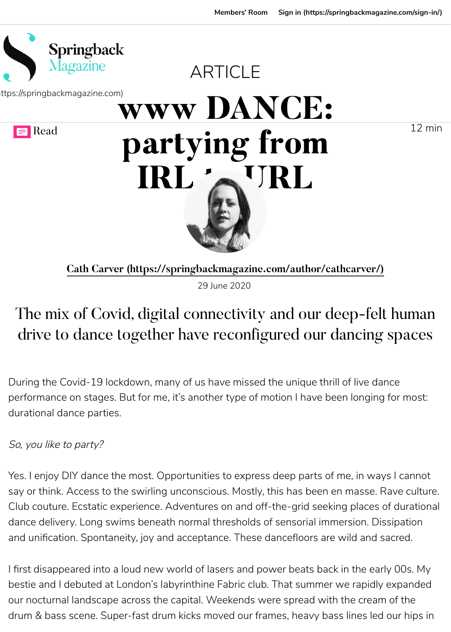

Cath Carver (https://springbackmagazine.com/author/cathearthcar

29 June 2020

# The mix of Covid, digital connectivity and our de drive to dance together have reconfigured our d

During the Covid-19 lockdown, many of us have missed the unique thril performance on stages. But for me, it's another type of motion I have be durational dance parties.

So, you like to party?

Yes. I enjoy DIY dance the most. Opportunities to express deep parts of say or think. Access to the swirling unconscious. Mostly, this has been e Club couture. Ecstatic experience. Adventures on and off-the-grid seeking dance delivery. Long swims beneath normal thresholds of sensorial imm and unification. Spontaneity, joy and acceptance. These dancefloors are

I first disappeared into a loud new world of lasers and power beats back bestie and I debuted at London's labyrinthine Fabric club. That summer v our nocturnal landscape across the capital. Weekends were spread with drum & bass scene. Super-fast drum kicks moved our frames, heavy bas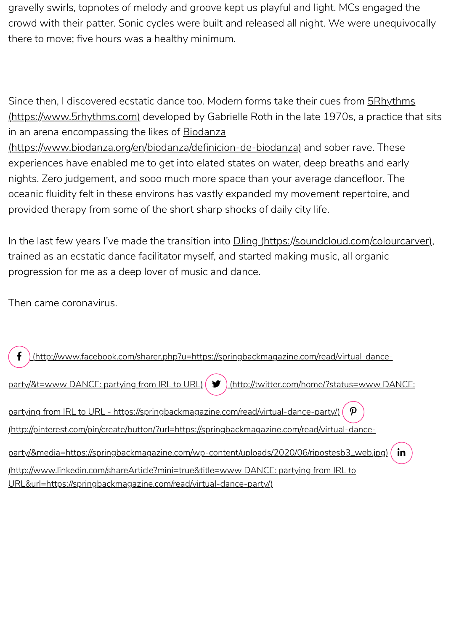oceanic fluidity felt in these environs has vastly expanded my movement repertoire, and provided therapy from some of the short sharp shocks of daily city life.

In the last few years I've made the transition into **DJing (https://soundclo** trained as an ecstatic dance facilitator myself, and started making music progression for me as a deep lover of music and dance.

[Then came coronavirus.](https://www.5rhythms.com/)

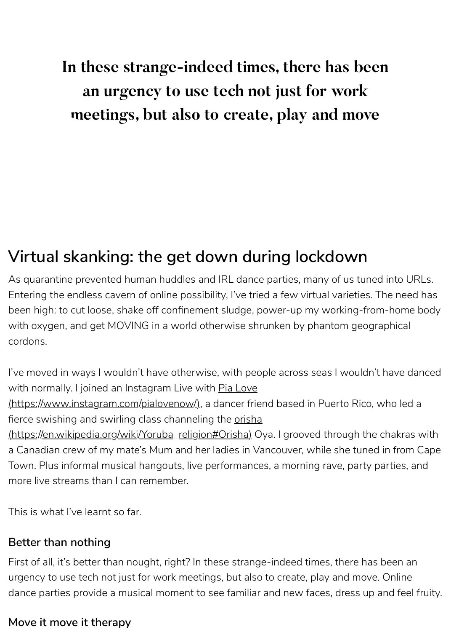# **Virtual skanking: the get down during lockder**

As quarantine prevented human huddles and IRL dance parties, many o Entering the endless cavern of online possibility, I've tried a few virtual v been high: to cut loose, shake off confinement sludge, power-up my wor with oxygen, and get MOVING in a world otherwise shrunken by phanto cordons.

I've moved in ways I wouldn't have otherwise, with people across seas I with normally. I joined an Instagram Live with Pia Love (https://www.instagram.com/pialovenow/), a dancer friend based in Puerto fierce swishing and swirling class channeling the orisha (https://en.wikipedia.org/wiki/Yoruba\_religion#Orisha) Oya. I grooved through the chakras with the change of the cha a Canadian crew of my mate's Mum and her ladies in Vancouver, while s Town. Plus informal musical hangouts, live performances, a morning rav more live streams than I can remember.

This is what I've learnt so far.

### **Better than nothing**

First of all, it's better than nought, right? In these strange-indeed times, the urgency to use tech not just for work meetings, but also to create, play a [dance parties provide a musical moment to see familiar](https://www.instagram.com/pialovenow/) and new faces, or

### **[Move it move it therapy](https://en.wikipedia.org/wiki/Yoruba_religion#Orisha)**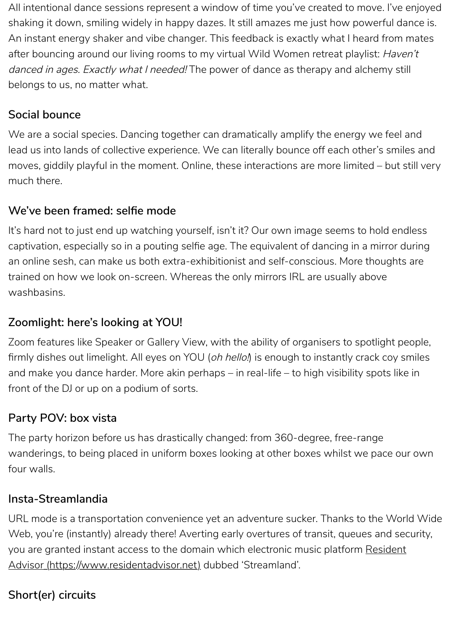#### **We've been framed: selfie mode**

It's hard not to just end up watching yourself, isn't it? Our own image see captivation, especially so in a pouting selfie age. The equivalent of danci an online sesh, can make us both extra-exhibitionist and self-conscious. trained on how we look on-screen. Whereas the only mirrors IRL are usu washbasins.

#### **Zoomlight: here's looking at YOU!**

Zoom features like Speaker or Gallery View, with the ability of organisers firmly dishes out limelight. All eyes on YOU (oh hello!) is enough to instai and make you dance harder. More akin perhaps – in real-life – to high vis front of the DJ or up on a podium of sorts.

#### **Party POV: box vista**

The party horizon before us has drastically changed: from 360-degree, f wanderings, to being placed in uniform boxes looking at other boxes wh four walls.

#### **Insta-Streamlandia**

URL mode is a transportation convenience yet an adventure sucker. Tha Web, you're (instantly) already there! Averting early overtures of transit, you are granted instant access to the domain which electronic music pla Advisor (https://www.residentadvisor.net) dubbed 'Streamland'.

### **Short(er) circuits**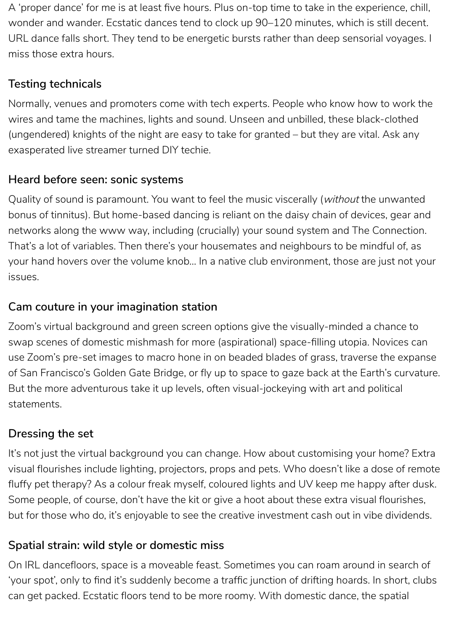A 'proper dance' for me is at least five hours. Plus on-top time to take in the experience, chill, wonder and wander. Ecstatic dances tend to clock up 90–120 minutes, which is still decent. URL dance falls short. They tend to be energetic bursts rather than deep sensorial voyages. I miss those extra hours.

#### **Testing technicals**

Normally, venues and promoters come with tech experts. People who know how to work the wires and tame the machines, lights and sound. Unseen and unbilled, these black-clothed (ungendered) knights of the night are easy to take for granted – but they are vital. Ask any exasperated live streamer turned DIY techie.

Quality of sound is paramount. You want to feel the music viscerally (without the unwanted bonus of tinnitus). But home-based dancing is reliant on the daisy chain of devices, gear and networks along the www way, including (crucially) your sound system and The Connection. That's a lot of variables. Then there's your housemates and neighbours to be mindful of, as your hand hovers over the volume knob… In a native club environment, those are just not your issues.

#### **Heard before seen: sonic systems**

### **Cam couture in your imagination station**

Zoom's virtual background and green screen options give the visually-minded a chance to swap scenes of domestic mishmash for more (aspirational) space-filling utopia. Novices can use Zoom's pre-set images to macro hone in on beaded blades of grass, traverse the expanse of San Francisco's Golden Gate Bridge, or fly up to space to gaze back at the Earth's curvature. But the more adventurous take it up levels, often visual-jockeying with art and political statements.

### **Dressing the set**

It's not just the virtual background you can change. How about customising your home? Extra visual flourishes include lighting, projectors, props and pets. Who doesn't like a dose of remote fluffy pet therapy? As a colour freak myself, coloured lights and UV keep me happy after dusk. Some people, of course, don't have the kit or give a hoot about these extra visual flourishes,

but for those who do, it's enjoyable to see the creative investment cash out in vibe dividends.

#### **Spatial strain: wild style or domestic miss**

On IRL dancefloors, space is a moveable feast. Sometimes you can roam around in search of 'your spot', only to find it's suddenly become a traffic junction of drifting hoards. In short, clubs can get packed. Ecstatic floors tend to be more roomy. With domestic dance, the spatial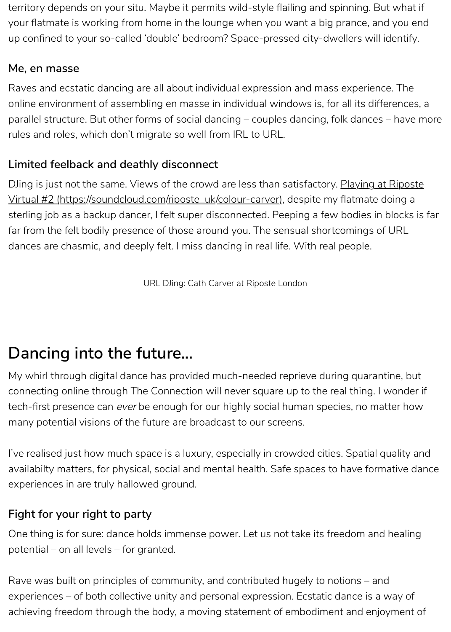Virtual #2 (https://soundcloud.com/riposte\_uk/colour-carver), despite my sterling job as a backup dancer, I felt super disconnected. Peeping a few far from the felt bodily presence of those around you. The sensual shorto dances are chasmic, and deeply felt. I miss dancing in real life. With real

URL DJing: Cath Carver at Riposte London

## **Dancing into the future…**

My whirl through digital dance has provided much-needed reprieve duri connecting online through The Connection will never square up to the re tech-first presence can ever be enough for our highly social human spec many potential visions of the future are broadcast to our screens.

I've realised just how much space is a luxury, especially in crowded cities availabilty matters, for physical, social and mental health. Safe spaces to experiences in are truly hallowed ground.

#### **Fight for your right to party**

One thing is for sure: dance holds immense power. Let us not take its free potential – on all levels – for granted.

Rave was built on principles of community, and contributed hugely to no experiences – of both collective unity and personal expression. Ecstatic d achieving freedom through the body, a moving statement of embodimer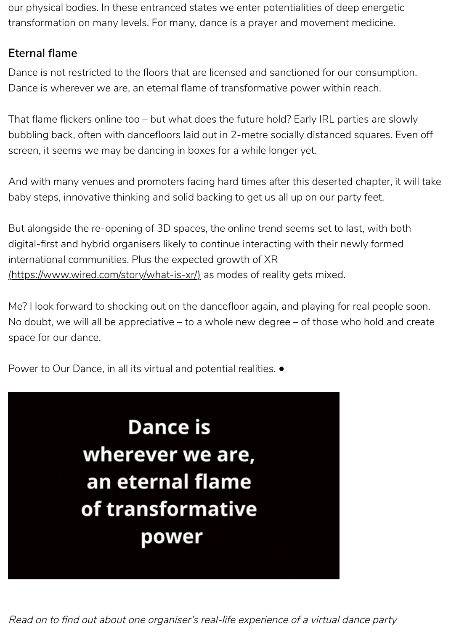baby steps, innovative thinking and solid backing to get us all up on our

But alongside the re-opening of 3D spaces, the online trend seems set to digital-first and hybrid organisers likely to continue interacting with their international communities. Plus the expected growth of  $XR$ (https://www.wired.com/story/what-is-xr/) as modes of reality gets mixe

Me? I look forward to shocking out on the dancefloor again, and playing No doubt, we will all be appreciative – to a whole new degree – of those space for our dance.

Power to Our Dance, in all its virtual and potential realities. ●

# **Dance is** wherever we are, an eternal flame of transformative power

Read on to find out about one organiser's real-life experience of a virtual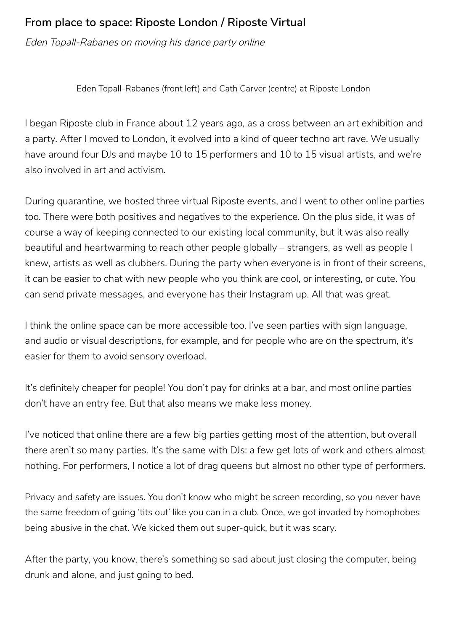Eden Topall-Rabanes (front left) and Cath Carver (centre) at Riposte London

#### **From place to space: Riposte London / Riposte Virtual**

Eden Topall-Rabanes on moving his dance party online

I began Riposte club in France about 12 years ago, as a cross between an art exhibition and a party. After I moved to London, it evolved into a kind of queer techno art rave. We usually have around four DJs and maybe 10 to 15 performers and 10 to 15 visual artists, and we're also involved in art and activism.

During quarantine, we hosted three virtual Riposte events, and I went to other online parties too. There were both positives and negatives to the experience. On the plus side, it was of course a way of keeping connected to our existing local community, but it was also really beautiful and heartwarming to reach other people globally – strangers, as well as people I knew, artists as well as clubbers. During the party when everyone is in front of their screens, it can be easier to chat with new people who you think are cool, or interesting, or cute. You can send private messages, and everyone has their Instagram up. All that was great.

I think the online space can be more accessible too. I've seen parties with sign language, and audio or visual descriptions, for example, and for people who are on the spectrum, it's easier for them to avoid sensory overload.

It's definitely cheaper for people! You don't pay for drinks at a bar, and most online parties don't have an entry fee. But that also means we make less money.

I've noticed that online there are a few big parties getting most of the attention, but overall there aren't so many parties. It's the same with DJs: a few get lots of work and others almost nothing. For performers, I notice a lot of drag queens but almost no other type of performers.

Privacy and safety are issues. You don't know who might be screen recording, so you never have the same freedom of going 'tits out' like you can in a club. Once, we got invaded by homophobes being abusive in the chat. We kicked them out super-quick, but it was scary.

After the party, you know, there's something so sad about just closing the computer, being drunk and alone, and just going to bed.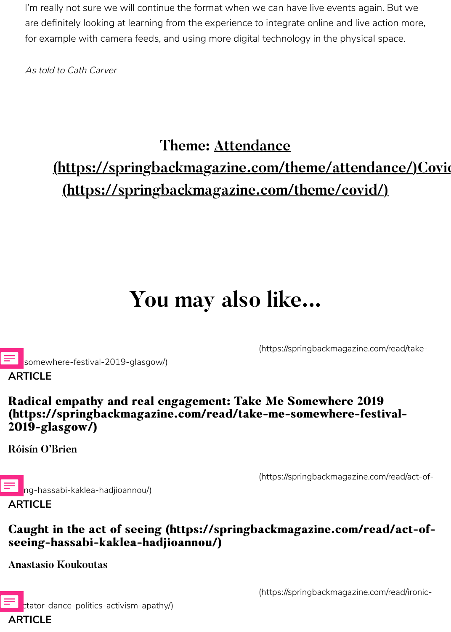## **(https://springbackmagazine.com/theme/covid/)**

# **You may also like...**

(https://springbackm

somewh[ere-festival-2019-glasgow/\)](https://springbackmagazine.com/theme/covid/)

#### **Radical empathy and real engagement: Take Me Somewhere 2019 (https://springbackmagazine.com/read/take-me-somewhere-festival- (https://springbackmagazine.com/read/take-me-somewhere-festival-2019-glasgow/) 2019-glasgow/)**

**Róisín O'Brien**

**ARTICLE**

ng-hassabi-kaklea-hadjioannou/) **ARTICLE**

(https://springbackm

### **Caught in the act of seeing (https://springbackmagazine.org [seeing-hassabi-kaklea-hadjioannou/\)](https://springbackmagazine.com/read/take-me-somewhere-festival-2019-glasgow/) seeing-hassabi-kaklea-hadjioannou/)**

**Anastasio Koukoutas**



(https://springbackm